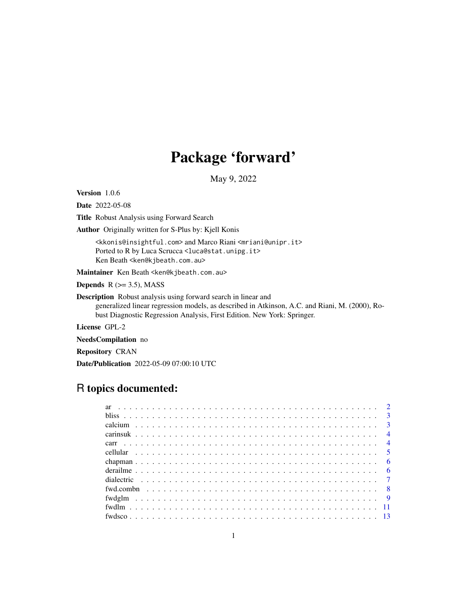## Package 'forward'

May 9, 2022

<span id="page-0-0"></span>Version 1.0.6

Date 2022-05-08

Title Robust Analysis using Forward Search

Author Originally written for S-Plus by: Kjell Konis

<kkonis@insightful.com> and Marco Riani <mriani@unipr.it> Ported to R by Luca Scrucca <luca@stat.unipg.it> Ken Beath <ken@kjbeath.com.au>

Maintainer Ken Beath <ken@kjbeath.com.au>

**Depends**  $R$  ( $>= 3.5$ ), MASS

Description Robust analysis using forward search in linear and generalized linear regression models, as described in Atkinson, A.C. and Riani, M. (2000), Robust Diagnostic Regression Analysis, First Edition. New York: Springer.

License GPL-2

NeedsCompilation no

Repository CRAN

Date/Publication 2022-05-09 07:00:10 UTC

## R topics documented: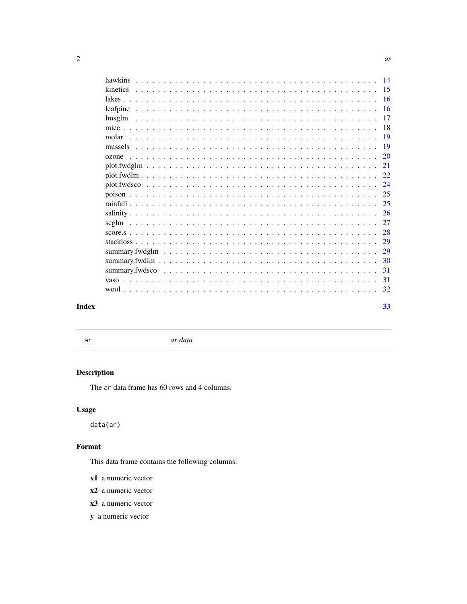<span id="page-1-0"></span>

| mice and the same state of the same state of the same state of the same state of the same state of the same state of the same state of the same state of the same state of the same state of the same state of the same state |  |  |  |  |  |  |  |  |  |  |  |  |  |  |  |  |  |  |  |  |  |  |
|-------------------------------------------------------------------------------------------------------------------------------------------------------------------------------------------------------------------------------|--|--|--|--|--|--|--|--|--|--|--|--|--|--|--|--|--|--|--|--|--|--|

|          | - 16      |
|----------|-----------|
| leafpine | 16        |
|          | 17        |
|          | <b>18</b> |
| molar    | -19       |
|          | 19        |
| ozone    | 20        |
|          | 21        |
|          | 22.       |
|          | 24        |
|          | 25        |
|          | 25        |
|          | 26        |
|          | 27        |
|          | 28        |
|          | 29        |
|          | 29        |
|          | 30        |
|          | 31        |
|          | 31        |
|          | 32        |
|          | 33        |

## **Index**

ar

 $\emph{ar data}$ 

## Description

The ar data frame has 60 rows and 4 columns.

## **Usage**

 $data(ar)$ 

## Format

This data frame contains the following columns:

- x1 a numeric vector
- $x2$  a numeric vector
- x3 a numeric vector
- y a numeric vector

14

15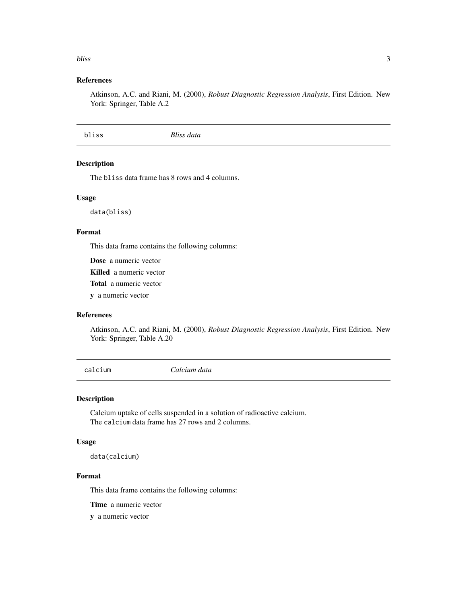#### <span id="page-2-0"></span>bliss 3

## References

Atkinson, A.C. and Riani, M. (2000), *Robust Diagnostic Regression Analysis*, First Edition. New York: Springer, Table A.2

bliss *Bliss data*

## Description

The bliss data frame has 8 rows and 4 columns.

## Usage

data(bliss)

## Format

This data frame contains the following columns:

Dose a numeric vector

Killed a numeric vector

Total a numeric vector

y a numeric vector

## References

Atkinson, A.C. and Riani, M. (2000), *Robust Diagnostic Regression Analysis*, First Edition. New York: Springer, Table A.20

calcium *Calcium data*

#### Description

Calcium uptake of cells suspended in a solution of radioactive calcium. The calcium data frame has 27 rows and 2 columns.

## Usage

data(calcium)

#### Format

This data frame contains the following columns:

Time a numeric vector

y a numeric vector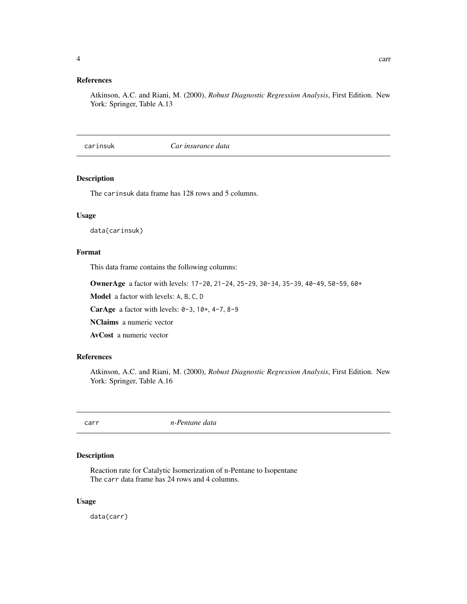## <span id="page-3-0"></span>References

Atkinson, A.C. and Riani, M. (2000), *Robust Diagnostic Regression Analysis*, First Edition. New York: Springer, Table A.13

carinsuk *Car insurance data*

#### Description

The carinsuk data frame has 128 rows and 5 columns.

#### Usage

data(carinsuk)

#### Format

This data frame contains the following columns:

OwnerAge a factor with levels: 17-20, 21-24, 25-29, 30-34, 35-39, 40-49, 50-59, 60+

Model a factor with levels: A, B, C, D

**CarAge** a factor with levels:  $0-3$ ,  $10+$ ,  $4-7$ ,  $8-9$ 

NClaims a numeric vector

AvCost a numeric vector

## References

Atkinson, A.C. and Riani, M. (2000), *Robust Diagnostic Regression Analysis*, First Edition. New York: Springer, Table A.16

carr *n-Pentane data*

## Description

Reaction rate for Catalytic Isomerization of n-Pentane to Isopentane The carr data frame has 24 rows and 4 columns.

#### Usage

data(carr)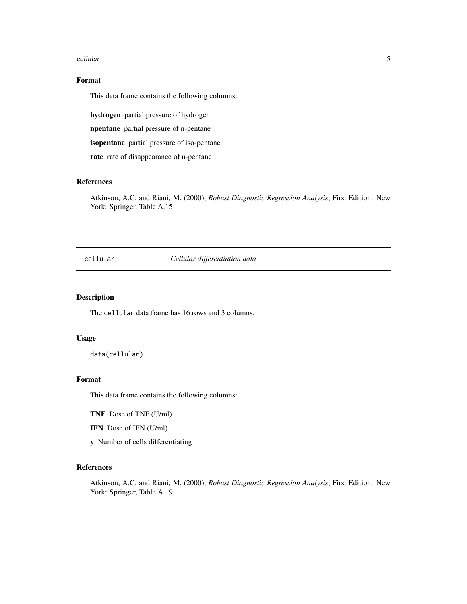#### <span id="page-4-0"></span>cellular 5

## Format

This data frame contains the following columns:

hydrogen partial pressure of hydrogen

npentane partial pressure of n-pentane

isopentane partial pressure of iso-pentane

rate rate of disappearance of n-pentane

## References

Atkinson, A.C. and Riani, M. (2000), *Robust Diagnostic Regression Analysis*, First Edition. New York: Springer, Table A.15

cellular *Cellular differentiation data*

#### Description

The cellular data frame has 16 rows and 3 columns.

#### Usage

data(cellular)

#### Format

This data frame contains the following columns:

TNF Dose of TNF (U/ml)

IFN Dose of IFN (U/ml)

y Number of cells differentiating

## References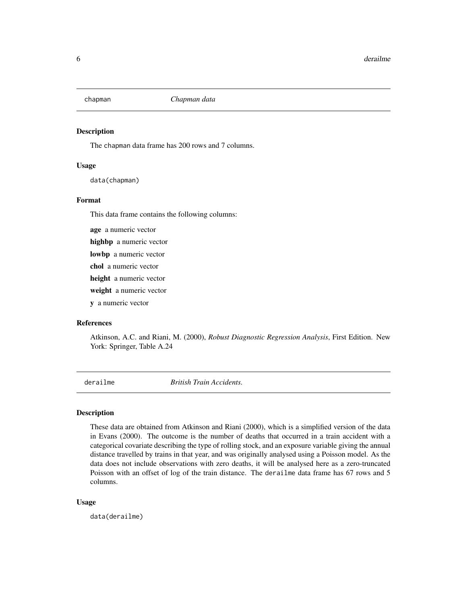<span id="page-5-0"></span>

The chapman data frame has 200 rows and 7 columns.

#### Usage

data(chapman)

#### Format

This data frame contains the following columns:

age a numeric vector

highbp a numeric vector

lowbp a numeric vector

chol a numeric vector

height a numeric vector

weight a numeric vector

y a numeric vector

## References

Atkinson, A.C. and Riani, M. (2000), *Robust Diagnostic Regression Analysis*, First Edition. New York: Springer, Table A.24

derailme *British Train Accidents.*

#### Description

These data are obtained from Atkinson and Riani (2000), which is a simplified version of the data in Evans (2000). The outcome is the number of deaths that occurred in a train accident with a categorical covariate describing the type of rolling stock, and an exposure variable giving the annual distance travelled by trains in that year, and was originally analysed using a Poisson model. As the data does not include observations with zero deaths, it will be analysed here as a zero-truncated Poisson with an offset of log of the train distance. The derailme data frame has 67 rows and 5 columns.

#### Usage

data(derailme)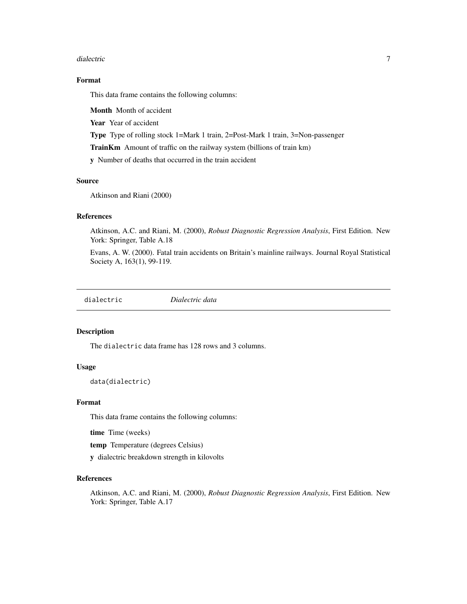#### <span id="page-6-0"></span>dialectric to the contract of the contract of the contract of the contract of the contract of the contract of the contract of the contract of the contract of the contract of the contract of the contract of the contract of

## Format

This data frame contains the following columns:

Month Month of accident

Year Year of accident

Type Type of rolling stock 1=Mark 1 train, 2=Post-Mark 1 train, 3=Non-passenger

TrainKm Amount of traffic on the railway system (billions of train km)

y Number of deaths that occurred in the train accident

#### Source

Atkinson and Riani (2000)

## References

Atkinson, A.C. and Riani, M. (2000), *Robust Diagnostic Regression Analysis*, First Edition. New York: Springer, Table A.18

Evans, A. W. (2000). Fatal train accidents on Britain's mainline railways. Journal Royal Statistical Society A, 163(1), 99-119.

## Description

The dialectric data frame has 128 rows and 3 columns.

#### Usage

data(dialectric)

#### Format

This data frame contains the following columns:

time Time (weeks)

temp Temperature (degrees Celsius)

y dialectric breakdown strength in kilovolts

#### References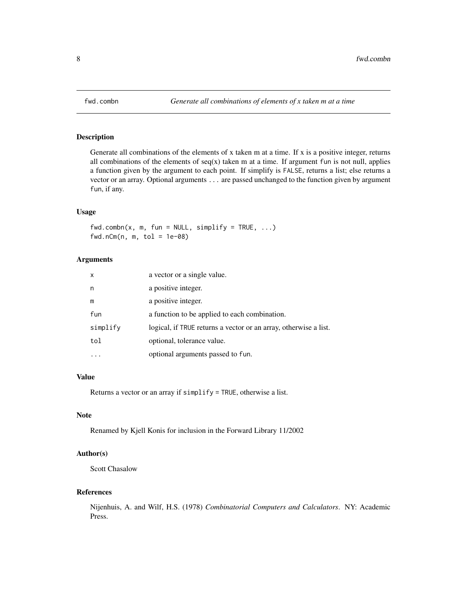<span id="page-7-0"></span>

Generate all combinations of the elements of x taken m at a time. If x is a positive integer, returns all combinations of the elements of  $seq(x)$  taken m at a time. If argument fun is not null, applies a function given by the argument to each point. If simplify is FALSE, returns a list; else returns a vector or an array. Optional arguments ... are passed unchanged to the function given by argument fun, if any.

#### Usage

 $fwd.combn(x, m, fun = NULL, simplify = TRUE, ...)$  $fwd.nCm(n, m, tol = 1e-08)$ 

## Arguments

| $\mathsf{x}$ | a vector or a single value.                                      |
|--------------|------------------------------------------------------------------|
| n            | a positive integer.                                              |
| m            | a positive integer.                                              |
| fun          | a function to be applied to each combination.                    |
| simplify     | logical, if TRUE returns a vector or an array, otherwise a list. |
| tol          | optional, tolerance value.                                       |
|              | optional arguments passed to fun.                                |

## Value

Returns a vector or an array if simplify = TRUE, otherwise a list.

## Note

Renamed by Kjell Konis for inclusion in the Forward Library 11/2002

## Author(s)

Scott Chasalow

#### References

Nijenhuis, A. and Wilf, H.S. (1978) *Combinatorial Computers and Calculators*. NY: Academic Press.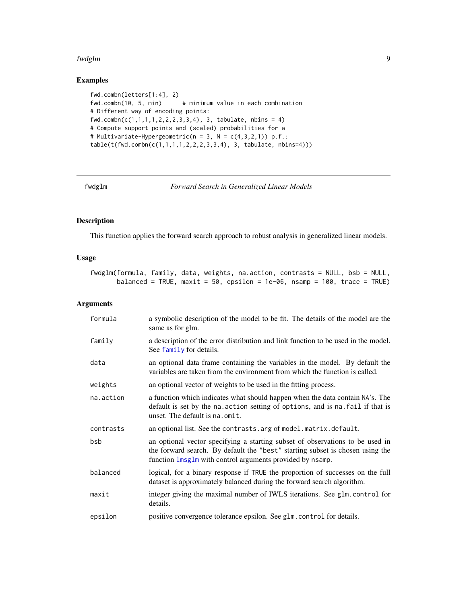#### <span id="page-8-0"></span>fwdglm 9

## Examples

```
fwd.combn(letters[1:4], 2)
fwd.combn(10, 5, min) # minimum value in each combination
# Different way of encoding points:
fwd.combn(c(1,1,1,1,2,2,2,3,3,4), 3, tabulate, nbins = 4)
# Compute support points and (scaled) probabilities for a
# Multivariate-Hypergeometric(n = 3, N = c(4,3,2,1)) p.f.:
table(t(fwd.combn(c(1,1,1,1,2,2,2,3,3,4), 3, tabulate, nbins=4)))
```
fwdglm *Forward Search in Generalized Linear Models*

## Description

This function applies the forward search approach to robust analysis in generalized linear models.

#### Usage

fwdglm(formula, family, data, weights, na.action, contrasts = NULL, bsb = NULL, balanced = TRUE, maxit = 50, epsilon = 1e-06, nsamp = 100, trace = TRUE)

#### Arguments

| formula   | a symbolic description of the model to be fit. The details of the model are the<br>same as for glm.                                                                                                                         |
|-----------|-----------------------------------------------------------------------------------------------------------------------------------------------------------------------------------------------------------------------------|
| family    | a description of the error distribution and link function to be used in the model.<br>See family for details.                                                                                                               |
| data      | an optional data frame containing the variables in the model. By default the<br>variables are taken from the environment from which the function is called.                                                                 |
| weights   | an optional vector of weights to be used in the fitting process.                                                                                                                                                            |
| na.action | a function which indicates what should happen when the data contain NA's. The<br>default is set by the na. action setting of options, and is na. fail if that is<br>unset. The default is na. omit.                         |
| contrasts | an optional list. See the contrasts. arg of model. matrix. default.                                                                                                                                                         |
| bsb       | an optional vector specifying a starting subset of observations to be used in<br>the forward search. By default the "best" starting subset is chosen using the<br>function lmsglm with control arguments provided by nsamp. |
| balanced  | logical, for a binary response if TRUE the proportion of successes on the full<br>dataset is approximately balanced during the forward search algorithm.                                                                    |
| maxit     | integer giving the maximal number of IWLS iterations. See glm.control for<br>details.                                                                                                                                       |
| epsilon   | positive convergence tolerance epsilon. See glm. control for details.                                                                                                                                                       |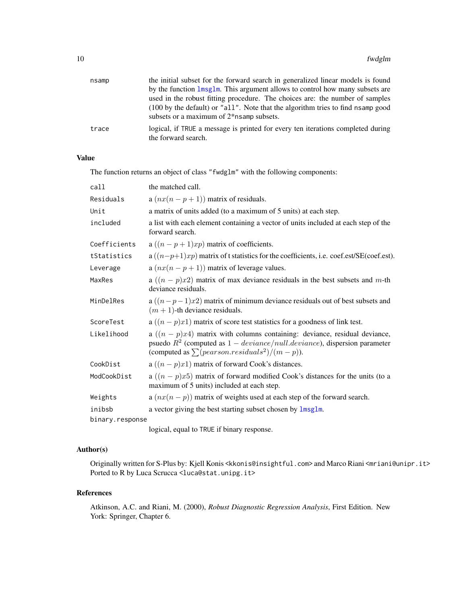<span id="page-9-0"></span>

| nsamp | the initial subset for the forward search in generalized linear models is found                                                          |
|-------|------------------------------------------------------------------------------------------------------------------------------------------|
|       | by the function lmsglm. This argument allows to control how many subsets are                                                             |
|       | used in the robust fitting procedure. The choices are: the number of samples                                                             |
|       | (100 by the default) or "all". Note that the algorithm tries to find nsamp good<br>subsets or a maximum of 2 <sup>*</sup> nsamp subsets. |
| trace | logical, if TRUE a message is printed for every ten iterations completed during<br>the forward search.                                   |

## Value

The function returns an object of class "fwdglm" with the following components:

| call            | the matched call.                                                                                                                                                                                                    |
|-----------------|----------------------------------------------------------------------------------------------------------------------------------------------------------------------------------------------------------------------|
| Residuals       | a $(nx(n-p+1))$ matrix of residuals.                                                                                                                                                                                 |
| Unit            | a matrix of units added (to a maximum of 5 units) at each step.                                                                                                                                                      |
| included        | a list with each element containing a vector of units included at each step of the<br>forward search.                                                                                                                |
| Coefficients    | a $((n-p+1)xp)$ matrix of coefficients.                                                                                                                                                                              |
| tStatistics     | $a((n-p+1)xp)$ matrix of t statistics for the coefficients, i.e. coef.est/SE(coef.est).                                                                                                                              |
| Leverage        | a $(nx(n-p+1))$ matrix of leverage values.                                                                                                                                                                           |
| MaxRes          | a $((n-p)x2)$ matrix of max deviance residuals in the best subsets and m-th<br>deviance residuals.                                                                                                                   |
| MinDelRes       | a $((n-p-1)x2)$ matrix of minimum deviance residuals out of best subsets and<br>$(m + 1)$ -th deviance residuals.                                                                                                    |
| ScoreTest       | a $((n-p)x1)$ matrix of score test statistics for a goodness of link test.                                                                                                                                           |
| Likelihood      | a $((n-p)x4)$ matrix with columns containing: deviance, residual deviance,<br>psuedo $R^2$ (computed as $1 - deviance/null. deviance$ ), dispersion parameter<br>(computed as $\sum (pearson. residuals^2)/(m-p)$ ). |
| CookDist        | a $((n-p)x1)$ matrix of forward Cook's distances.                                                                                                                                                                    |
| ModCookDist     | a $((n-p)x5)$ matrix of forward modified Cook's distances for the units (to a<br>maximum of 5 units) included at each step.                                                                                          |
| Weights         | a $(nx(n-p))$ matrix of weights used at each step of the forward search.                                                                                                                                             |
| inibsb          | a vector giving the best starting subset chosen by lmsglm.                                                                                                                                                           |
| binary.response |                                                                                                                                                                                                                      |

logical, equal to TRUE if binary response.

## Author(s)

Originally written for S-Plus by: Kjell Konis <kkonis@insightful.com> and Marco Riani <mriani@unipr.it> Ported to R by Luca Scrucca <luca@stat.unipg.it>

#### References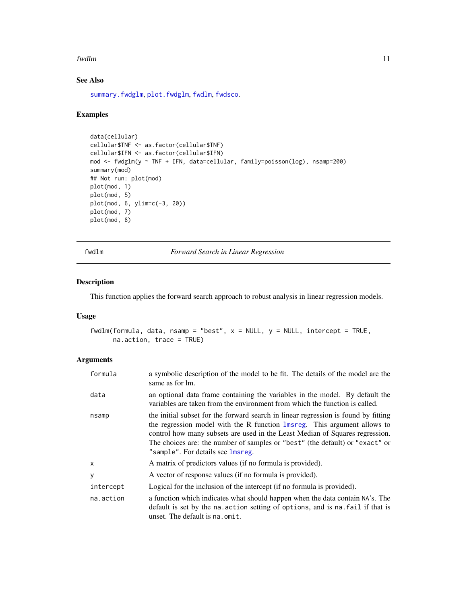#### <span id="page-10-0"></span>fwdlm the contract of the contract of the contract of the contract of the contract of the contract of the contract of the contract of the contract of the contract of the contract of the contract of the contract of the cont

## See Also

[summary.fwdglm](#page-28-1), [plot.fwdglm](#page-20-1), [fwdlm](#page-10-1), [fwdsco](#page-12-1).

## Examples

```
data(cellular)
cellular$TNF <- as.factor(cellular$TNF)
cellular$IFN <- as.factor(cellular$IFN)
mod <- fwdglm(y ~ TNF + IFN, data=cellular, family=poisson(log), nsamp=200)
summary(mod)
## Not run: plot(mod)
plot(mod, 1)
plot(mod, 5)
plot(mod, 6, ylim=c(-3, 20))
plot(mod, 7)
plot(mod, 8)
```
fwdlm *Forward Search in Linear Regression*

## Description

This function applies the forward search approach to robust analysis in linear regression models.

#### Usage

fwdlm(formula, data, nsamp = "best",  $x = NULL$ ,  $y = NULL$ , intercept = TRUE, na.action, trace = TRUE)

## Arguments

| formula   | a symbolic description of the model to be fit. The details of the model are the<br>same as for lm.                                                                                                                                                                                                                                                                  |
|-----------|---------------------------------------------------------------------------------------------------------------------------------------------------------------------------------------------------------------------------------------------------------------------------------------------------------------------------------------------------------------------|
| data      | an optional data frame containing the variables in the model. By default the<br>variables are taken from the environment from which the function is called.                                                                                                                                                                                                         |
| nsamp     | the initial subset for the forward search in linear regression is found by fitting<br>the regression model with the R function 1msreg. This argument allows to<br>control how many subsets are used in the Least Median of Squares regression.<br>The choices are: the number of samples or "best" (the default) or "exact" or<br>"sample". For details see lmsreg. |
| X         | A matrix of predictors values (if no formula is provided).                                                                                                                                                                                                                                                                                                          |
| У         | A vector of response values (if no formula is provided).                                                                                                                                                                                                                                                                                                            |
| intercept | Logical for the inclusion of the intercept (if no formula is provided).                                                                                                                                                                                                                                                                                             |
| na.action | a function which indicates what should happen when the data contain NA's. The<br>default is set by the na. action setting of options, and is na. fail if that is<br>unset. The default is na. omit.                                                                                                                                                                 |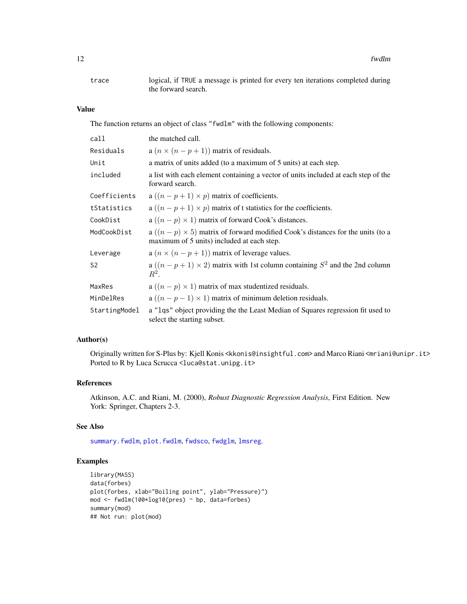<span id="page-11-0"></span>12 fwdlm

trace logical, if TRUE a message is printed for every ten iterations completed during the forward search.

## Value

The function returns an object of class "fwdlm" with the following components:

| call           | the matched call.                                                                                                                  |
|----------------|------------------------------------------------------------------------------------------------------------------------------------|
| Residuals      | a $(n \times (n-p+1))$ matrix of residuals.                                                                                        |
| Unit           | a matrix of units added (to a maximum of 5 units) at each step.                                                                    |
| included       | a list with each element containing a vector of units included at each step of the<br>forward search.                              |
| Coefficients   | a $((n-p+1) \times p)$ matrix of coefficients.                                                                                     |
| tStatistics    | a $((n-p+1) \times p)$ matrix of t statistics for the coefficients.                                                                |
| CookDist       | a $((n-p) \times 1)$ matrix of forward Cook's distances.                                                                           |
| ModCookDist    | a $((n-p) \times 5)$ matrix of forward modified Cook's distances for the units (to a<br>maximum of 5 units) included at each step. |
| Leverage       | a $(n \times (n-p+1))$ matrix of leverage values.                                                                                  |
| S <sub>2</sub> | a $((n-p+1) \times 2)$ matrix with 1st column containing $S^2$ and the 2nd column<br>$R^2$ .                                       |
| MaxRes         | a $((n-p) \times 1)$ matrix of max studentized residuals.                                                                          |
| MinDelRes      | a $((n-p-1) \times 1)$ matrix of minimum deletion residuals.                                                                       |
| StartingModel  | a "lqs" object providing the the Least Median of Squares regression fit used to<br>select the starting subset.                     |

## Author(s)

Originally written for S-Plus by: Kjell Konis <kkonis@insightful.com> and Marco Riani <mriani@unipr.it> Ported to R by Luca Scrucca <luca@stat.unipg.it>

## References

Atkinson, A.C. and Riani, M. (2000), *Robust Diagnostic Regression Analysis*, First Edition. New York: Springer, Chapters 2-3.

#### See Also

[summary.fwdlm](#page-29-1), [plot.fwdlm](#page-21-1), [fwdsco](#page-12-1), [fwdglm](#page-8-1), [lmsreg](#page-0-0).

## Examples

```
library(MASS)
data(forbes)
plot(forbes, xlab="Boiling point", ylab="Pressure)")
mod <- fwdlm(100*log10(pres) ~ bp, data=forbes)
summary(mod)
## Not run: plot(mod)
```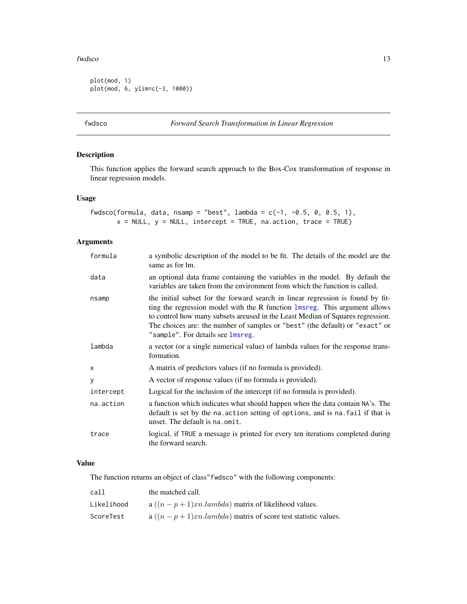#### <span id="page-12-0"></span>fwdsco in the state of the state of the state of the state of the state of the state of the state of the state of the state of the state of the state of the state of the state of the state of the state of the state of the

```
plot(mod, 1)
plot(mod, 6, ylim=c(-3, 1000))
```
<span id="page-12-1"></span>fwdsco *Forward Search Transformation in Linear Regression*

## Description

This function applies the forward search approach to the Box-Cox transformation of response in linear regression models.

## Usage

```
fwdsco(formula, data, nsamp = "best", lambda = c(-1, -0.5, 0, 0.5, 1),
       x = NULL, y = NULL, intercept = TRUE, na.action, trace = TRUE)
```
## Arguments

| formula   | a symbolic description of the model to be fit. The details of the model are the<br>same as for lm.                                                                                                                                                                                                                                                                    |
|-----------|-----------------------------------------------------------------------------------------------------------------------------------------------------------------------------------------------------------------------------------------------------------------------------------------------------------------------------------------------------------------------|
| data      | an optional data frame containing the variables in the model. By default the<br>variables are taken from the environment from which the function is called.                                                                                                                                                                                                           |
| nsamp     | the initial subset for the forward search in linear regression is found by fit-<br>ting the regression model with the R function lmsreg. This argument allows<br>to control how many subsets are used in the Least Median of Squares regression.<br>The choices are: the number of samples or "best" (the default) or "exact" or<br>"sample". For details see lmsreg. |
| lambda    | a vector (or a single numerical value) of lambda values for the response trans-<br>formation.                                                                                                                                                                                                                                                                         |
| X         | A matrix of predictors values (if no formula is provided).                                                                                                                                                                                                                                                                                                            |
| У         | A vector of response values (if no formula is provided).                                                                                                                                                                                                                                                                                                              |
| intercept | Logical for the inclusion of the intercept (if no formula is provided).                                                                                                                                                                                                                                                                                               |
| na.action | a function which indicates what should happen when the data contain NA's. The<br>default is set by the na. action setting of options, and is na. fail if that is<br>unset. The default is na.omit.                                                                                                                                                                    |
| trace     | logical, if TRUE a message is printed for every ten iterations completed during<br>the forward search.                                                                                                                                                                                                                                                                |

#### Value

The function returns an object of class"fwdsco" with the following components:

| call       | the matched call.                                            |
|------------|--------------------------------------------------------------|
| Likelihood | a $((n-p+1)xn.lambda)$ matrix of likelihood values.          |
| ScoreTest  | $a((n-p+1)xn.lambda)$ matrix of score test statistic values. |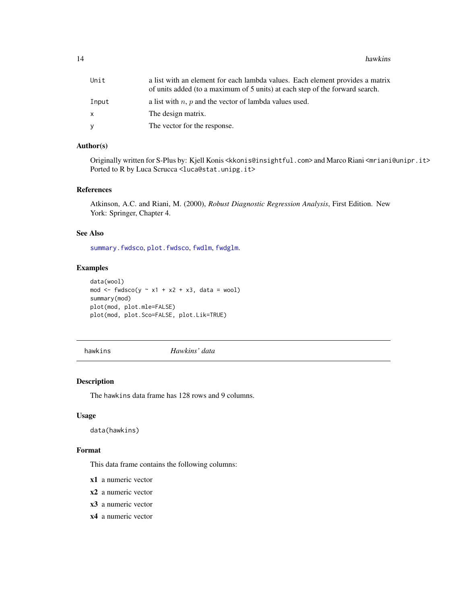<span id="page-13-0"></span>14 hawkins

| Unit  | a list with an element for each lambda values. Each element provides a matrix<br>of units added (to a maximum of 5 units) at each step of the forward search. |
|-------|---------------------------------------------------------------------------------------------------------------------------------------------------------------|
| Input | a list with $n$ , $p$ and the vector of lambda values used.                                                                                                   |
| x.    | The design matrix.                                                                                                                                            |
| v     | The vector for the response.                                                                                                                                  |
|       |                                                                                                                                                               |

## Author(s)

Originally written for S-Plus by: Kjell Konis <kkonis@insightful.com> and Marco Riani <mriani@unipr.it> Ported to R by Luca Scrucca <luca@stat.unipg.it>

#### References

Atkinson, A.C. and Riani, M. (2000), *Robust Diagnostic Regression Analysis*, First Edition. New York: Springer, Chapter 4.

#### See Also

[summary.fwdsco](#page-30-1), [plot.fwdsco](#page-23-1), [fwdlm](#page-10-1), [fwdglm](#page-8-1).

## Examples

```
data(wool)
mod \le fwdsco(y \sim x1 + x2 + x3, data = wool)
summary(mod)
plot(mod, plot.mle=FALSE)
plot(mod, plot.Sco=FALSE, plot.Lik=TRUE)
```
hawkins *Hawkins' data*

## Description

The hawkins data frame has 128 rows and 9 columns.

#### Usage

data(hawkins)

#### Format

This data frame contains the following columns:

- x1 a numeric vector
- x2 a numeric vector
- x3 a numeric vector
- x4 a numeric vector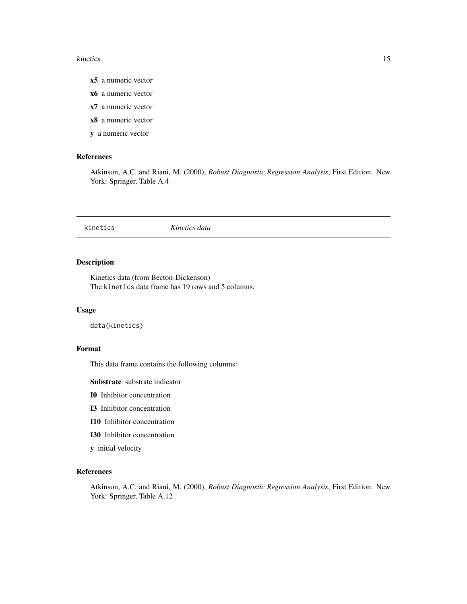#### <span id="page-14-0"></span>kinetics and the state of the state of the state of the state of the state of the state of the state of the state of the state of the state of the state of the state of the state of the state of the state of the state of t

- x5 a numeric vector
- x6 a numeric vector
- x7 a numeric vector
- x8 a numeric vector
- y a numeric vector

## References

Atkinson, A.C. and Riani, M. (2000), *Robust Diagnostic Regression Analysis*, First Edition. New York: Springer, Table A.4

kinetics *Kinetics data*

## Description

Kinetics data (from Becton-Dickenson) The kinetics data frame has 19 rows and 5 columns.

## Usage

```
data(kinetics)
```
## Format

This data frame contains the following columns:

Substrate substrate indicator

- I0 Inhibitor concentration
- I3 Inhibitor concentration
- I10 Inhibitor concentration
- I30 Inhibitor concentration
- y initial velocity

## References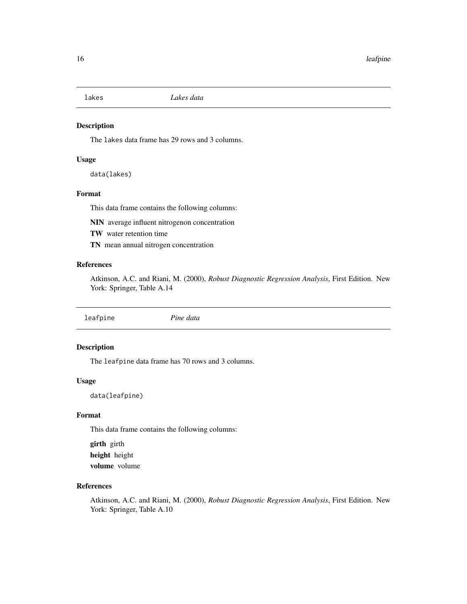<span id="page-15-0"></span>

The lakes data frame has 29 rows and 3 columns.

## Usage

data(lakes)

## Format

This data frame contains the following columns:

NIN average influent nitrogenon concentration

TW water retention time

TN mean annual nitrogen concentration

## References

Atkinson, A.C. and Riani, M. (2000), *Robust Diagnostic Regression Analysis*, First Edition. New York: Springer, Table A.14

leafpine *Pine data*

## Description

The leafpine data frame has 70 rows and 3 columns.

## Usage

data(leafpine)

## Format

This data frame contains the following columns:

girth girth height height volume volume

## References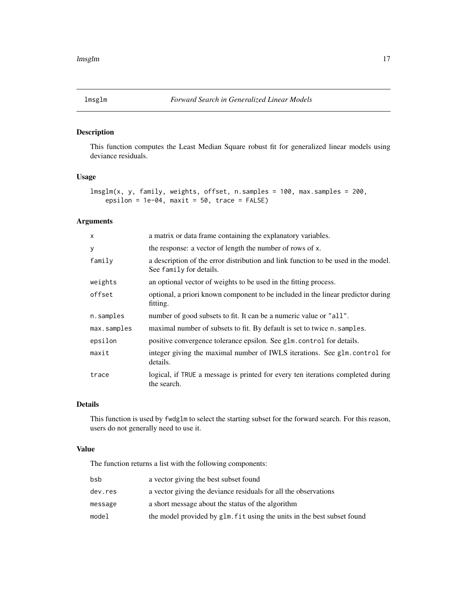<span id="page-16-1"></span><span id="page-16-0"></span>

This function computes the Least Median Square robust fit for generalized linear models using deviance residuals.

## Usage

```
lmsglm(x, y, family, weights, offset, n.samples = 100, max.samples = 200,
   epsilon = 1e-04, maxit = 50, trace = FALSE)
```
#### Arguments

| $\times$    | a matrix or data frame containing the explanatory variables.                                                  |
|-------------|---------------------------------------------------------------------------------------------------------------|
| У           | the response: a vector of length the number of rows of x.                                                     |
| family      | a description of the error distribution and link function to be used in the model.<br>See family for details. |
| weights     | an optional vector of weights to be used in the fitting process.                                              |
| offset      | optional, a priori known component to be included in the linear predictor during<br>fitting.                  |
| n.samples   | number of good subsets to fit. It can be a numeric value or "all".                                            |
| max.samples | maximal number of subsets to fit. By default is set to twice n. samples.                                      |
| epsilon     | positive convergence tolerance epsilon. See glm.control for details.                                          |
| maxit       | integer giving the maximal number of IWLS iterations. See glm.control for<br>details.                         |
| trace       | logical, if TRUE a message is printed for every ten iterations completed during<br>the search.                |

## Details

This function is used by fwdglm to select the starting subset for the forward search. For this reason, users do not generally need to use it.

## Value

The function returns a list with the following components:

| bsb     | a vector giving the best subset found                                   |
|---------|-------------------------------------------------------------------------|
| dev.res | a vector giving the deviance residuals for all the observations         |
| message | a short message about the status of the algorithm                       |
| model   | the model provided by glm. fit using the units in the best subset found |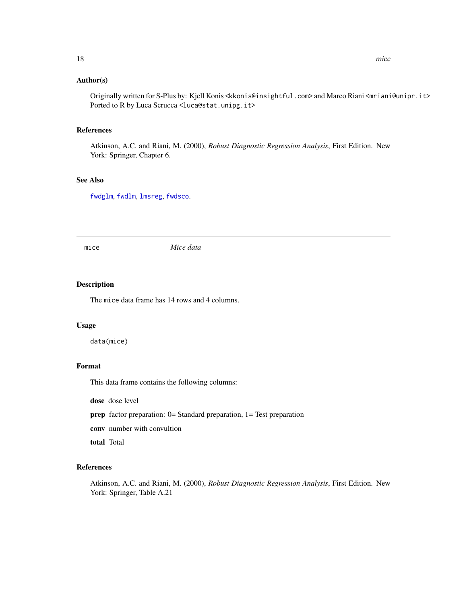#### <span id="page-17-0"></span>Author(s)

Originally written for S-Plus by: Kjell Konis <kkonis@insightful.com> and Marco Riani <mriani@unipr.it> Ported to R by Luca Scrucca <luca@stat.unipg.it>

## References

Atkinson, A.C. and Riani, M. (2000), *Robust Diagnostic Regression Analysis*, First Edition. New York: Springer, Chapter 6.

## See Also

[fwdglm](#page-8-1), [fwdlm](#page-10-1), [lmsreg](#page-0-0), [fwdsco](#page-12-1).

mice *Mice data*

## Description

The mice data frame has 14 rows and 4 columns.

#### Usage

data(mice)

#### Format

This data frame contains the following columns:

dose dose level

prep factor preparation: 0= Standard preparation, 1= Test preparation

conv number with convultion

total Total

## References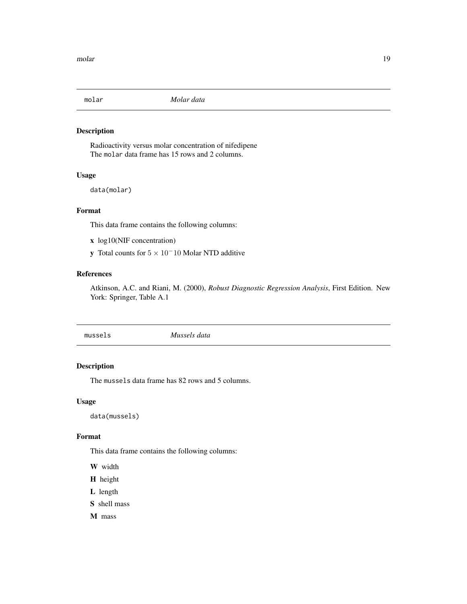<span id="page-18-0"></span>

Radioactivity versus molar concentration of nifedipene The molar data frame has 15 rows and 2 columns.

## Usage

data(molar)

## Format

This data frame contains the following columns:

- x log10(NIF concentration)
- y Total counts for  $5 \times 10^-10$  Molar NTD additive

#### References

Atkinson, A.C. and Riani, M. (2000), *Robust Diagnostic Regression Analysis*, First Edition. New York: Springer, Table A.1

mussels *Mussels data*

#### Description

The mussels data frame has 82 rows and 5 columns.

## Usage

data(mussels)

#### Format

This data frame contains the following columns:

W width

- H height
- L length
- S shell mass

M mass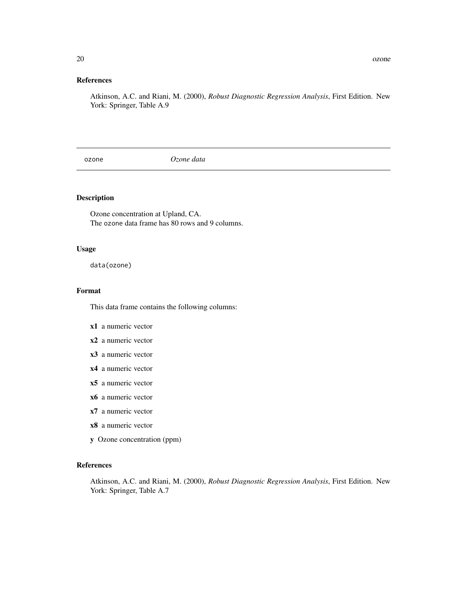## <span id="page-19-0"></span>References

Atkinson, A.C. and Riani, M. (2000), *Robust Diagnostic Regression Analysis*, First Edition. New York: Springer, Table A.9

ozone *Ozone data*

## Description

Ozone concentration at Upland, CA. The ozone data frame has 80 rows and 9 columns.

## Usage

data(ozone)

#### Format

This data frame contains the following columns:

- x1 a numeric vector
- x2 a numeric vector
- x3 a numeric vector
- x4 a numeric vector
- x5 a numeric vector
- x6 a numeric vector
- x7 a numeric vector
- x8 a numeric vector
- y Ozone concentration (ppm)

## References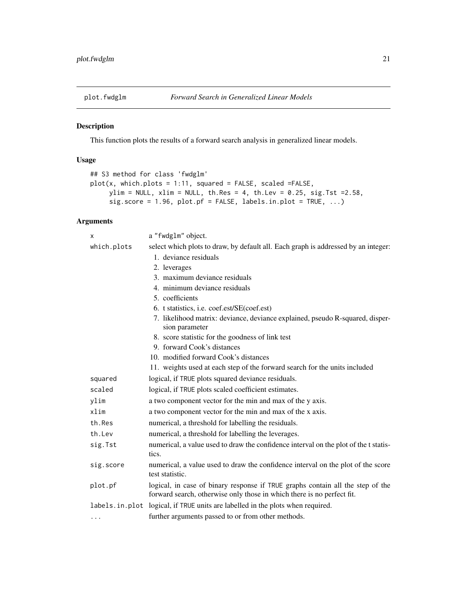<span id="page-20-1"></span><span id="page-20-0"></span>

This function plots the results of a forward search analysis in generalized linear models.

## Usage

```
## S3 method for class 'fwdglm'
plot(x, which.plots = 1:11, squared = FALSE, scaled = FALSE,ylim = NULL, xlim = NULL, th.Res = 4, th.Lev = 0.25, sig.Tst =2.58,
     sig.score = 1.96, plot.pf = FALSE, labels.in.plot = TRUE, ...)
```
#### Arguments

| X           | a "fwdglm" object.                                                                                                                                       |  |
|-------------|----------------------------------------------------------------------------------------------------------------------------------------------------------|--|
| which.plots | select which plots to draw, by default all. Each graph is addressed by an integer:                                                                       |  |
|             | 1. deviance residuals                                                                                                                                    |  |
|             | 2. leverages                                                                                                                                             |  |
|             | 3. maximum deviance residuals                                                                                                                            |  |
|             | 4. minimum deviance residuals                                                                                                                            |  |
|             | 5. coefficients                                                                                                                                          |  |
|             | 6. t statistics, i.e. coef.est/SE(coef.est)                                                                                                              |  |
|             | 7. likelihood matrix: deviance, deviance explained, pseudo R-squared, disper-<br>sion parameter                                                          |  |
|             | 8. score statistic for the goodness of link test                                                                                                         |  |
|             | 9. forward Cook's distances                                                                                                                              |  |
|             | 10. modified forward Cook's distances                                                                                                                    |  |
|             | 11. weights used at each step of the forward search for the units included                                                                               |  |
| squared     | logical, if TRUE plots squared deviance residuals.                                                                                                       |  |
| scaled      | logical, if TRUE plots scaled coefficient estimates.                                                                                                     |  |
| ylim        | a two component vector for the min and max of the y axis.                                                                                                |  |
| xlim        | a two component vector for the min and max of the x axis.                                                                                                |  |
| th.Res      | numerical, a threshold for labelling the residuals.                                                                                                      |  |
| th.Lev      | numerical, a threshold for labelling the leverages.                                                                                                      |  |
| sig.Tst     | numerical, a value used to draw the confidence interval on the plot of the t statis-<br>tics.                                                            |  |
| sig.score   | numerical, a value used to draw the confidence interval on the plot of the score<br>test statistic.                                                      |  |
| plot.pf     | logical, in case of binary response if TRUE graphs contain all the step of the<br>forward search, otherwise only those in which there is no perfect fit. |  |
|             | labels. in. plot logical, if TRUE units are labelled in the plots when required.                                                                         |  |
| $\cdots$    | further arguments passed to or from other methods.                                                                                                       |  |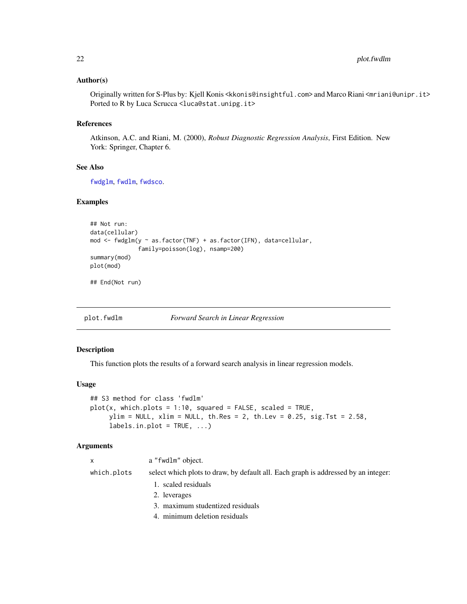#### <span id="page-21-0"></span>Author(s)

Originally written for S-Plus by: Kjell Konis <kkonis@insightful.com> and Marco Riani <mriani@unipr.it> Ported to R by Luca Scrucca <luca@stat.unipg.it>

#### References

Atkinson, A.C. and Riani, M. (2000), *Robust Diagnostic Regression Analysis*, First Edition. New York: Springer, Chapter 6.

## See Also

[fwdglm](#page-8-1), [fwdlm](#page-10-1), [fwdsco](#page-12-1).

## Examples

```
## Not run:
data(cellular)
mod \leq fwdglm(y \sim as.factor(TNF) + as.factor(IFN), data=cellular,
              family=poisson(log), nsamp=200)
summary(mod)
plot(mod)
```
## End(Not run)

<span id="page-21-1"></span>plot.fwdlm *Forward Search in Linear Regression*

#### Description

This function plots the results of a forward search analysis in linear regression models.

#### Usage

```
## S3 method for class 'fwdlm'
plot(x, which.plots = 1:10, squared = FALSE, scaled = TRUE,ylim = NULL, xlim = NULL, th Res = 2, th. Lev = 0.25, sig. Tst = 2.58,
     labels.in.plot = TRUE, ...)
```
#### Arguments

| $\mathsf{x}$ | a "fwdlm" object.                                                                  |
|--------------|------------------------------------------------------------------------------------|
| which.plots  | select which plots to draw, by default all. Each graph is addressed by an integer: |
|              | 1. scaled residuals                                                                |
|              | 2. leverages                                                                       |
|              | 3. maximum studentized residuals                                                   |
|              | 4. minimum deletion residuals                                                      |
|              |                                                                                    |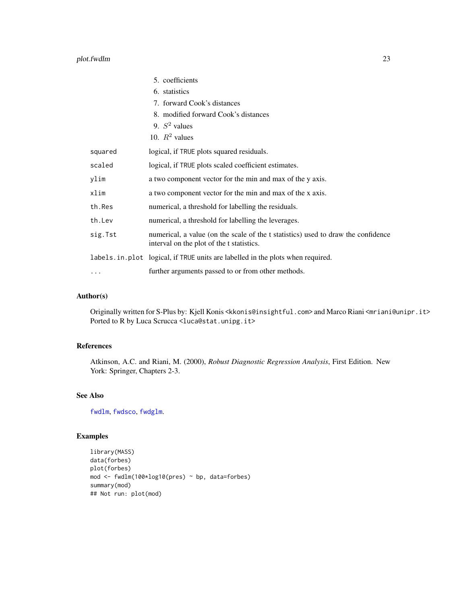## plot.fwdlm 23

|         | 5. coefficients                                                                                                                |
|---------|--------------------------------------------------------------------------------------------------------------------------------|
|         | 6. statistics                                                                                                                  |
|         | 7. forward Cook's distances                                                                                                    |
|         | 8. modified forward Cook's distances                                                                                           |
|         | 9. $S^2$ values                                                                                                                |
|         | 10. $R^2$ values                                                                                                               |
| squared | logical, if TRUE plots squared residuals.                                                                                      |
| scaled  | logical, if TRUE plots scaled coefficient estimates.                                                                           |
| ylim    | a two component vector for the min and max of the y axis.                                                                      |
| xlim    | a two component vector for the min and max of the x axis.                                                                      |
| th.Res  | numerical, a threshold for labelling the residuals.                                                                            |
| th.Lev  | numerical, a threshold for labelling the leverages.                                                                            |
| sig.Tst | numerical, a value (on the scale of the t statistics) used to draw the confidence<br>interval on the plot of the t statistics. |
|         | labels. in. plot logical, if TRUE units are labelled in the plots when required.                                               |
| .       | further arguments passed to or from other methods.                                                                             |

## Author(s)

Originally written for S-Plus by: Kjell Konis <kkonis@insightful.com> and Marco Riani <mriani@unipr.it> Ported to R by Luca Scrucca <luca@stat.unipg.it>

## References

Atkinson, A.C. and Riani, M. (2000), *Robust Diagnostic Regression Analysis*, First Edition. New York: Springer, Chapters 2-3.

## See Also

[fwdlm](#page-10-1), [fwdsco](#page-12-1), [fwdglm](#page-8-1).

## Examples

```
library(MASS)
data(forbes)
plot(forbes)
mod <- fwdlm(100*log10(pres) ~ bp, data=forbes)
summary(mod)
## Not run: plot(mod)
```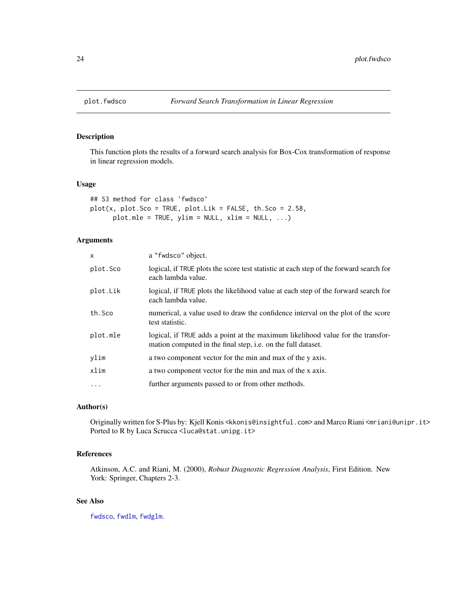<span id="page-23-1"></span><span id="page-23-0"></span>

This function plots the results of a forward search analysis for Box-Cox transformation of response in linear regression models.

#### Usage

```
## S3 method for class 'fwdsco'
plot(x, plot.Sco = TRUE, plot.Lik = FALSE, th.Sco = 2.58,plot.mle = TRUE, ylim = NULL, xlim = NULL, ...
```
## Arguments

| $\mathsf{x}$ | a "fwdsco" object.                                                                                                                              |
|--------------|-------------------------------------------------------------------------------------------------------------------------------------------------|
| plot.Sco     | logical, if TRUE plots the score test statistic at each step of the forward search for<br>each lambda value.                                    |
| plot.Lik     | logical, if TRUE plots the likelihood value at each step of the forward search for<br>each lambda value.                                        |
| th.Sco       | numerical, a value used to draw the confidence interval on the plot of the score<br>test statistic.                                             |
| plot.mle     | logical, if TRUE adds a point at the maximum likelihood value for the transfor-<br>mation computed in the final step, i.e. on the full dataset. |
| ylim         | a two component vector for the min and max of the y axis.                                                                                       |
| xlim         | a two component vector for the min and max of the x axis.                                                                                       |
| $\ddots$     | further arguments passed to or from other methods.                                                                                              |

## Author(s)

Originally written for S-Plus by: Kjell Konis <kkonis@insightful.com> and Marco Riani <mriani@unipr.it> Ported to R by Luca Scrucca <luca@stat.unipg.it>

## References

Atkinson, A.C. and Riani, M. (2000), *Robust Diagnostic Regression Analysis*, First Edition. New York: Springer, Chapters 2-3.

#### See Also

[fwdsco](#page-12-1), [fwdlm](#page-10-1), [fwdglm](#page-8-1).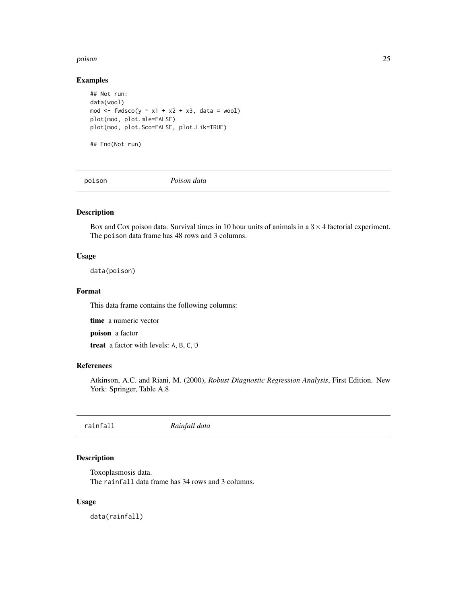#### <span id="page-24-0"></span>poison and 25 and 25 and 26 and 26 and 26 and 26 and 26 and 26 and 26 and 26 and 26 and 26 and 26 and 26 and 26

#### Examples

```
## Not run:
data(wool)
mod \le fwdsco(y \sim x1 + x2 + x3, data = wool)
plot(mod, plot.mle=FALSE)
plot(mod, plot.Sco=FALSE, plot.Lik=TRUE)
## End(Not run)
```
poison *Poison data*

#### Description

Box and Cox poison data. Survival times in 10 hour units of animals in a  $3 \times 4$  factorial experiment. The poison data frame has 48 rows and 3 columns.

## Usage

data(poison)

#### Format

This data frame contains the following columns:

time a numeric vector

poison a factor

treat a factor with levels: A, B, C, D

#### References

Atkinson, A.C. and Riani, M. (2000), *Robust Diagnostic Regression Analysis*, First Edition. New York: Springer, Table A.8

rainfall *Rainfall data*

## Description

Toxoplasmosis data. The rainfall data frame has 34 rows and 3 columns.

#### Usage

data(rainfall)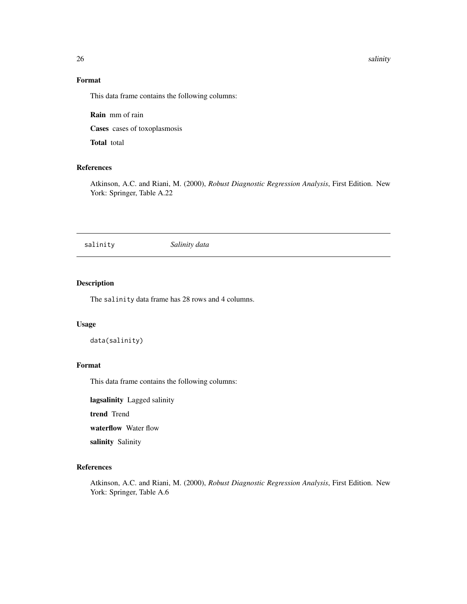26 salinity and the contract of the contract of the contract of the contract of the contract of the contract of the contract of the contract of the contract of the contract of the contract of the contract of the contract o

## Format

This data frame contains the following columns:

Rain mm of rain

Cases cases of toxoplasmosis

Total total

## References

Atkinson, A.C. and Riani, M. (2000), *Robust Diagnostic Regression Analysis*, First Edition. New York: Springer, Table A.22

salinity *Salinity data*

#### Description

The salinity data frame has 28 rows and 4 columns.

## Usage

```
data(salinity)
```
## Format

This data frame contains the following columns:

lagsalinity Lagged salinity

trend Trend

waterflow Water flow

salinity Salinity

## References

<span id="page-25-0"></span>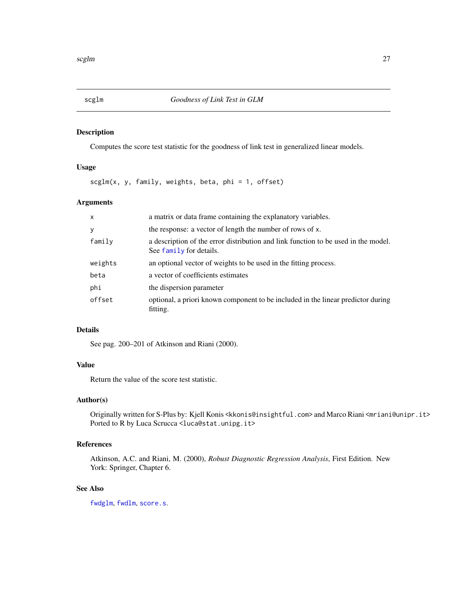Computes the score test statistic for the goodness of link test in generalized linear models.

## Usage

scglm(x, y, family, weights, beta, phi = 1, offset)

## Arguments

| $\mathsf{x}$ | a matrix or data frame containing the explanatory variables.                                                  |
|--------------|---------------------------------------------------------------------------------------------------------------|
| У            | the response: a vector of length the number of rows of x.                                                     |
| family       | a description of the error distribution and link function to be used in the model.<br>See family for details. |
| weights      | an optional vector of weights to be used in the fitting process.                                              |
| beta         | a vector of coefficients estimates                                                                            |
| phi          | the dispersion parameter                                                                                      |
| offset       | optional, a priori known component to be included in the linear predictor during<br>fitting.                  |

## Details

See pag. 200–201 of Atkinson and Riani (2000).

## Value

Return the value of the score test statistic.

## Author(s)

Originally written for S-Plus by: Kjell Konis <kkonis@insightful.com> and Marco Riani <mriani@unipr.it> Ported to R by Luca Scrucca <luca@stat.unipg.it>

## References

Atkinson, A.C. and Riani, M. (2000), *Robust Diagnostic Regression Analysis*, First Edition. New York: Springer, Chapter 6.

## See Also

[fwdglm](#page-8-1), [fwdlm](#page-10-1), [score.s](#page-27-1).

<span id="page-26-0"></span>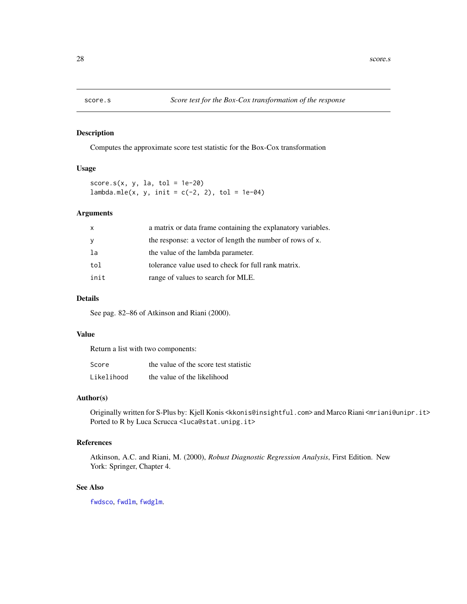<span id="page-27-1"></span><span id="page-27-0"></span>

Computes the approximate score test statistic for the Box-Cox transformation

## Usage

score.s(x, y, la, tol =  $1e-20$ ) lambda.mle(x, y, init =  $c(-2, 2)$ , tol = 1e-04)

## Arguments

| $\mathsf{x}$ | a matrix or data frame containing the explanatory variables. |
|--------------|--------------------------------------------------------------|
| <sub>y</sub> | the response: a vector of length the number of rows of x.    |
| la           | the value of the lambda parameter.                           |
| tol          | tolerance value used to check for full rank matrix.          |
| init         | range of values to search for MLE.                           |

## Details

See pag. 82–86 of Atkinson and Riani (2000).

#### Value

Return a list with two components:

| Score      | the value of the score test statistic |
|------------|---------------------------------------|
| Likelihood | the value of the likelihood           |

## Author(s)

Originally written for S-Plus by: Kjell Konis <kkonis@insightful.com> and Marco Riani <mriani@unipr.it> Ported to R by Luca Scrucca <luca@stat.unipg.it>

#### References

Atkinson, A.C. and Riani, M. (2000), *Robust Diagnostic Regression Analysis*, First Edition. New York: Springer, Chapter 4.

## See Also

[fwdsco](#page-12-1), [fwdlm](#page-10-1), [fwdglm](#page-8-1).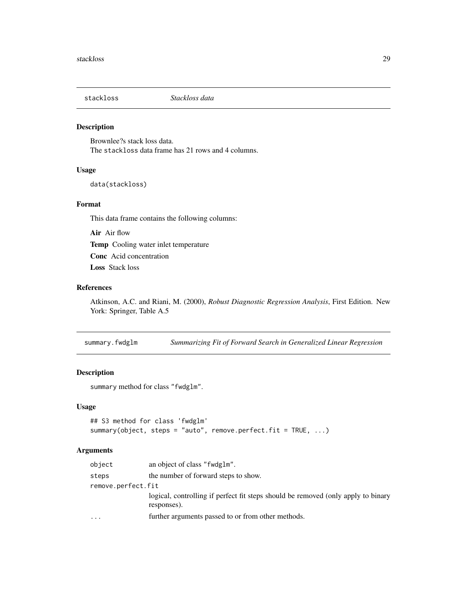<span id="page-28-0"></span>

Brownlee?s stack loss data. The stackloss data frame has 21 rows and 4 columns.

## Usage

data(stackloss)

## Format

This data frame contains the following columns:

Air Air flow Temp Cooling water inlet temperature Conc Acid concentration Loss Stack loss

#### References

Atkinson, A.C. and Riani, M. (2000), *Robust Diagnostic Regression Analysis*, First Edition. New York: Springer, Table A.5

<span id="page-28-1"></span>summary.fwdglm *Summarizing Fit of Forward Search in Generalized Linear Regression*

## Description

summary method for class "fwdglm".

#### Usage

```
## S3 method for class 'fwdglm'
summary(object, steps = "auto", remove.perfect.fit = TRUE, \dots)
```
## Arguments

| object                  | an object of class "fwdglm".                                                                     |  |
|-------------------------|--------------------------------------------------------------------------------------------------|--|
| steps                   | the number of forward steps to show.                                                             |  |
| remove.perfect.fit      |                                                                                                  |  |
|                         | logical, controlling if perfect fit steps should be removed (only apply to binary<br>responses). |  |
| $\cdot$ $\cdot$ $\cdot$ | further arguments passed to or from other methods.                                               |  |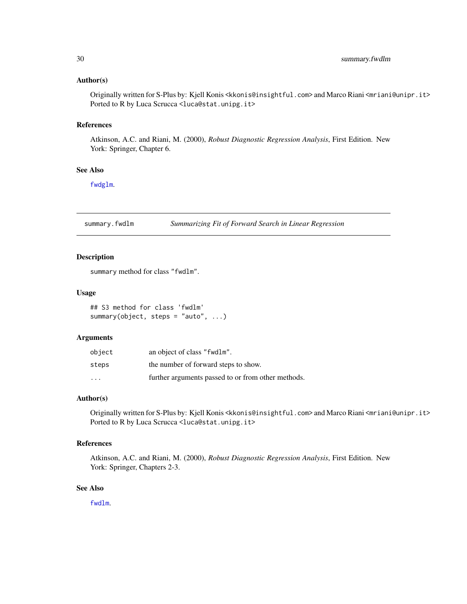#### <span id="page-29-0"></span>Author(s)

Originally written for S-Plus by: Kjell Konis <kkonis@insightful.com> and Marco Riani <mriani@unipr.it> Ported to R by Luca Scrucca <luca@stat.unipg.it>

## References

Atkinson, A.C. and Riani, M. (2000), *Robust Diagnostic Regression Analysis*, First Edition. New York: Springer, Chapter 6.

#### See Also

[fwdglm](#page-8-1).

<span id="page-29-1"></span>summary.fwdlm *Summarizing Fit of Forward Search in Linear Regression*

#### Description

summary method for class "fwdlm".

#### Usage

## S3 method for class 'fwdlm' summary(object, steps = "auto", ...)

#### Arguments

| object                  | an object of class "fwdlm".                        |
|-------------------------|----------------------------------------------------|
| steps                   | the number of forward steps to show.               |
| $\cdot$ $\cdot$ $\cdot$ | further arguments passed to or from other methods. |

#### Author(s)

Originally written for S-Plus by: Kjell Konis <kkonis@insightful.com> and Marco Riani <mriani@unipr.it> Ported to R by Luca Scrucca <luca@stat.unipg.it>

#### References

Atkinson, A.C. and Riani, M. (2000), *Robust Diagnostic Regression Analysis*, First Edition. New York: Springer, Chapters 2-3.

## See Also

[fwdlm](#page-10-1).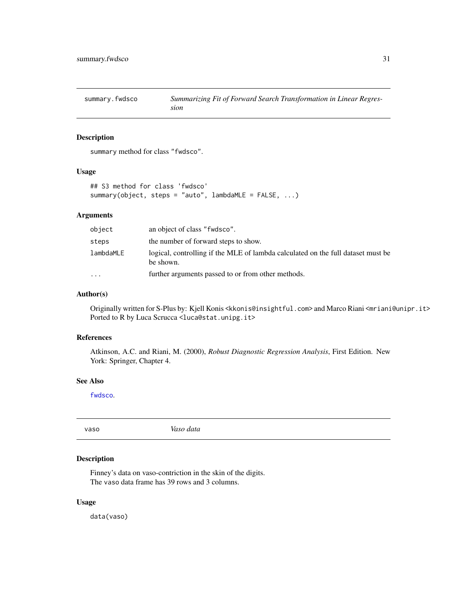<span id="page-30-1"></span><span id="page-30-0"></span>summary.fwdsco *Summarizing Fit of Forward Search Transformation in Linear Regression*

## Description

summary method for class "fwdsco".

## Usage

```
## S3 method for class 'fwdsco'
summary(object, steps = "auto", lambdaMLE = FALSE, ...)
```
## Arguments

| object    | an object of class "fwdsco".                                                                  |
|-----------|-----------------------------------------------------------------------------------------------|
| steps     | the number of forward steps to show.                                                          |
| lambdaMLE | logical, controlling if the MLE of lambda calculated on the full dataset must be<br>be shown. |
| $\cdot$   | further arguments passed to or from other methods.                                            |

## Author(s)

Originally written for S-Plus by: Kjell Konis <kkonis@insightful.com> and Marco Riani <mriani@unipr.it> Ported to R by Luca Scrucca <luca@stat.unipg.it>

#### References

Atkinson, A.C. and Riani, M. (2000), *Robust Diagnostic Regression Analysis*, First Edition. New York: Springer, Chapter 4.

## See Also

[fwdsco](#page-12-1).

vaso *Vaso data*

#### Description

Finney's data on vaso-contriction in the skin of the digits. The vaso data frame has 39 rows and 3 columns.

#### Usage

data(vaso)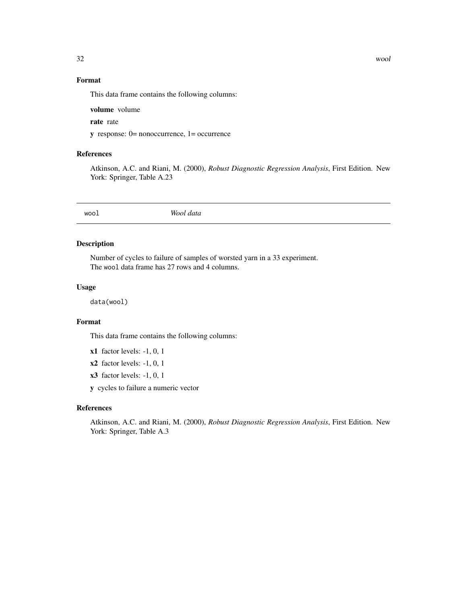## <span id="page-31-0"></span>Format

This data frame contains the following columns:

volume volume

rate rate

y response: 0= nonoccurrence, 1= occurrence

## References

Atkinson, A.C. and Riani, M. (2000), *Robust Diagnostic Regression Analysis*, First Edition. New York: Springer, Table A.23

wool *Wool data*

## Description

Number of cycles to failure of samples of worsted yarn in a 33 experiment. The wool data frame has 27 rows and 4 columns.

#### Usage

data(wool)

#### Format

This data frame contains the following columns:

 $x1$  factor levels:  $-1$ , 0, 1

x2 factor levels: -1, 0, 1

x3 factor levels: -1, 0, 1

y cycles to failure a numeric vector

#### References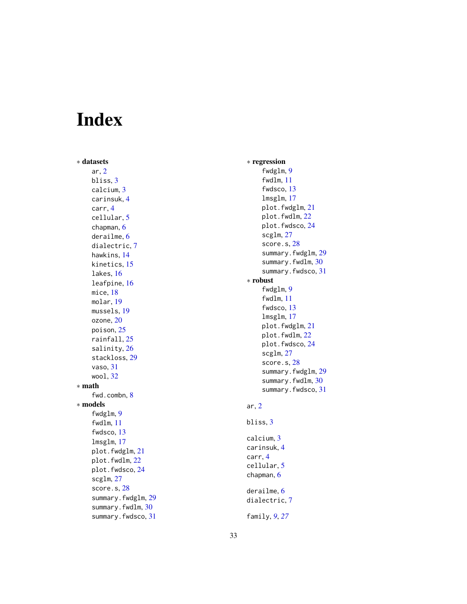# <span id="page-32-0"></span>Index

∗ datasets ar , [2](#page-1-0) bliss , [3](#page-2-0) calcium , [3](#page-2-0) carinsuk , [4](#page-3-0) carr , [4](#page-3-0) cellular , [5](#page-4-0) chapman , [6](#page-5-0) derailme , [6](#page-5-0) dialectric , [7](#page-6-0) hawkins , [14](#page-13-0) kinetics , [15](#page-14-0) lakes , [16](#page-15-0) leafpine , [16](#page-15-0) mice , [18](#page-17-0) molar , [19](#page-18-0) mussels , [19](#page-18-0) ozone, [20](#page-19-0) poison , [25](#page-24-0) rainfall , [25](#page-24-0) salinity , [26](#page-25-0) stackloss , [29](#page-28-0) vaso , [31](#page-30-0) wool , [32](#page-31-0) ∗ math fwd.combn , [8](#page-7-0) ∗ models fwdglm, [9](#page-8-0) fwdlm , [11](#page-10-0) fwdsco , [13](#page-12-0) lmsglm , [17](#page-16-0) plot.fwdglm , [21](#page-20-0) plot.fwdlm , [22](#page-21-0) plot.fwdsco , [24](#page-23-0) scglm , [27](#page-26-0) score.s, [28](#page-27-0) summary.fwdglm , [29](#page-28-0) summary.fwdlm, [30](#page-29-0) summary.fwdsco , [31](#page-30-0)

∗ regression fwdglm , [9](#page-8-0) fwdlm , [11](#page-10-0) fwdsco , [13](#page-12-0) lmsglm , [17](#page-16-0) plot.fwdglm , [21](#page-20-0) plot.fwdlm , [22](#page-21-0) plot.fwdsco , [24](#page-23-0) scglm , [27](#page-26-0) score.s , [28](#page-27-0) summary.fwdglm, [29](#page-28-0) summary.fwdlm, [30](#page-29-0) summary.fwdsco, [31](#page-30-0) ∗ robust fwdglm, [9](#page-8-0) fwdlm , [11](#page-10-0) fwdsco , [13](#page-12-0) lmsglm , [17](#page-16-0) plot.fwdglm , [21](#page-20-0) plot.fwdlm , [22](#page-21-0) plot.fwdsco , [24](#page-23-0) scglm , [27](#page-26-0) score.s, [28](#page-27-0) summary.fwdglm, [29](#page-28-0) summary.fwdlm, [30](#page-29-0) summary.fwdsco , [31](#page-30-0) ar , [2](#page-1-0) bliss , [3](#page-2-0) calcium , [3](#page-2-0) carinsuk , [4](#page-3-0) carr , [4](#page-3-0) cellular , [5](#page-4-0) chapman, [6](#page-5-0) derailme , [6](#page-5-0) dialectric , [7](#page-6-0) family , *[9](#page-8-0)* , *[27](#page-26-0)*